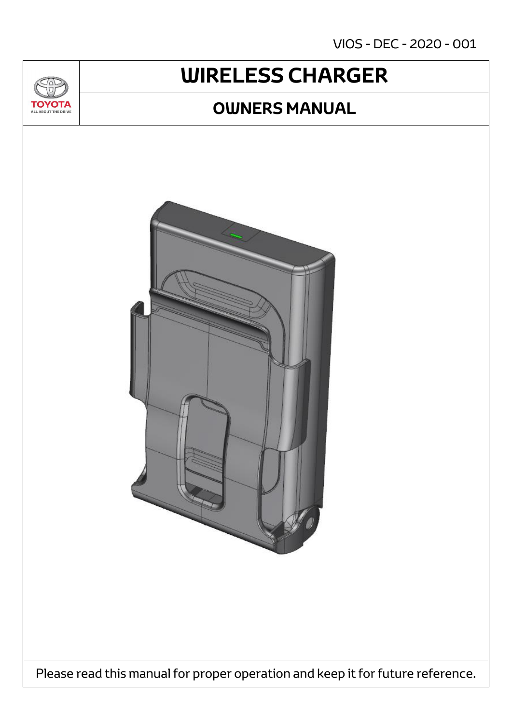VIOS - DEC - 2020 - 001

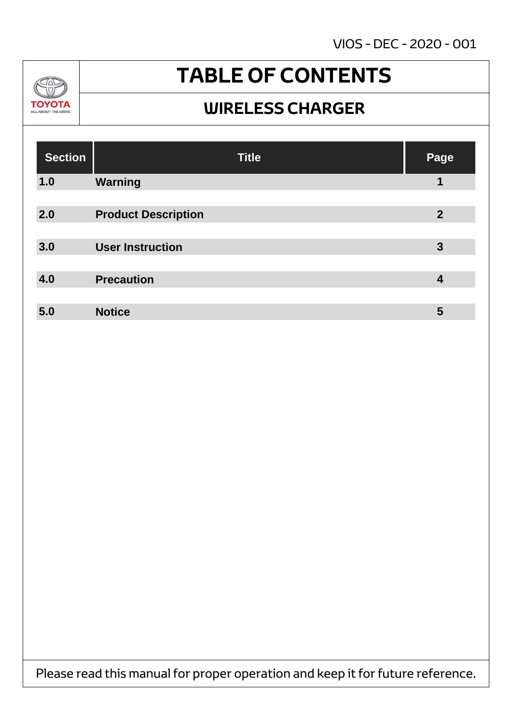VIOS - DEC - 2020 - 001



### **TABLE OF CONTENTS**

#### **WIRELESS CHARGER**

| <b>Section</b> | <b>Title</b>               | Page           |
|----------------|----------------------------|----------------|
| 1.0            | <b>Warning</b>             | 1              |
|                |                            |                |
| 2.0            | <b>Product Description</b> | $\overline{2}$ |
|                |                            |                |
| 3.0            | <b>User Instruction</b>    | $\mathbf{3}$   |
|                |                            |                |
| 4.0            | <b>Precaution</b>          | 4              |
|                |                            |                |
| 5.0            | <b>Notice</b>              | 5              |

Please read this manual for proper operation and keep it for future reference.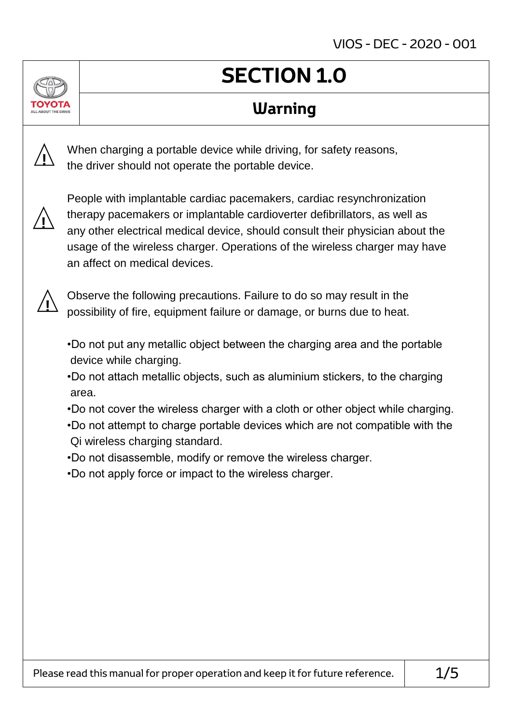### **SECTION 1.0**

#### **Warning**

When charging a portable device while driving, for safety reasons, the driver should not operate the portable device.



**!**

People with implantable cardiac pacemakers, cardiac resynchronization therapy pacemakers or implantable cardioverter defibrillators, as well as any other electrical medical device, should consult their physician about the usage of the wireless charger. Operations of the wireless charger may have an affect on medical devices.



Observe the following precautions. Failure to do so may result in the possibility of fire, equipment failure or damage, or burns due to heat.

- •Do not put any metallic object between the charging area and the portable device while charging.
- •Do not attach metallic objects, such as aluminium stickers, to the charging area.
- •Do not cover the wireless charger with a cloth or other object while charging.
- •Do not attempt to charge portable devices which are not compatible with the Qi wireless charging standard.
- •Do not disassemble, modify or remove the wireless charger.
- •Do not apply force or impact to the wireless charger.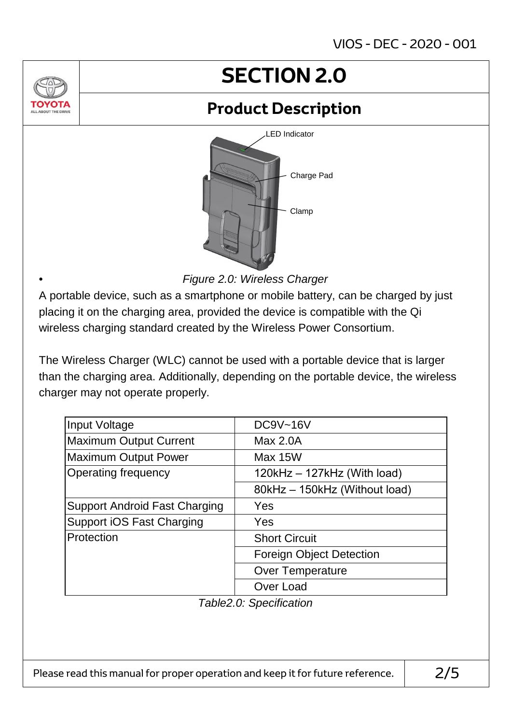### **SECTION 2.0**

### **Product Description**



*Figure 2.0: Wireless Charger*

A portable device, such as a smartphone or mobile battery, can be charged by just placing it on the charging area, provided the device is compatible with the Qi wireless charging standard created by the Wireless Power Consortium.

•

The Wireless Charger (WLC) cannot be used with a portable device that is larger than the charging area. Additionally, depending on the portable device, the wireless charger may not operate properly.

| Input Voltage                        | <b>DC9V~16V</b>                 |  |  |
|--------------------------------------|---------------------------------|--|--|
| <b>Maximum Output Current</b>        | Max 2.0A                        |  |  |
| <b>Maximum Output Power</b>          | Max 15W                         |  |  |
| <b>Operating frequency</b>           | $120kHz - 127kHz$ (With load)   |  |  |
|                                      | 80kHz - 150kHz (Without load)   |  |  |
| <b>Support Android Fast Charging</b> | Yes                             |  |  |
| <b>Support iOS Fast Charging</b>     | Yes                             |  |  |
| Protection                           | <b>Short Circuit</b>            |  |  |
|                                      | <b>Foreign Object Detection</b> |  |  |
|                                      | <b>Over Temperature</b>         |  |  |
|                                      | Over Load                       |  |  |

*Table2.0: Specification*

Please read this manual for proper operation and keep it for future reference.  $\vert$  2/5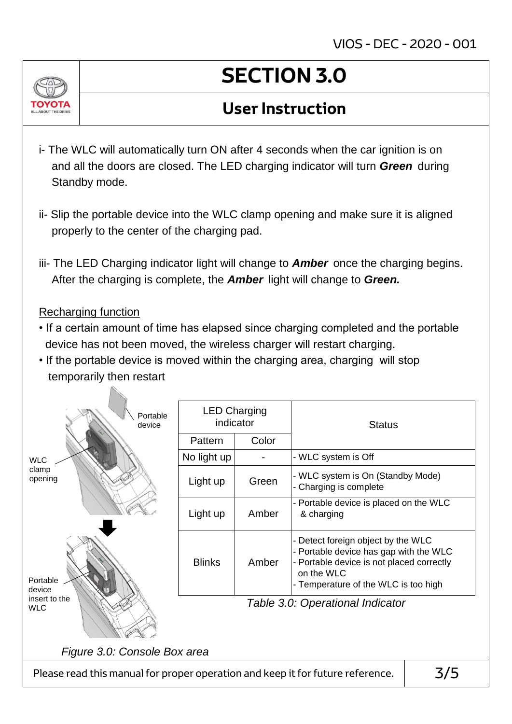

# **SECTION 3.0**

#### **User Instruction**

- i- The WLC will automatically turn ON after 4 seconds when the car ignition is on and all the doors are closed. The LED charging indicator will turn *Green* during Standby mode.
- ii- Slip the portable device into the WLC clamp opening and make sure it is aligned properly to the center of the charging pad.
- iii- The LED Charging indicator light will change to *Amber* once the charging begins. After the charging is complete, the *Amber* light will change to *Green.*

#### Recharging function

- If a certain amount of time has elapsed since charging completed and the portable device has not been moved, the wireless charger will restart charging.
- If the portable device is moved within the charging area, charging will stop temporarily then restart

| Portable<br>device                                                                    | <b>LED Charging</b><br>indicator |       | <b>Status</b>                                                                                                                                                                   |  |  |
|---------------------------------------------------------------------------------------|----------------------------------|-------|---------------------------------------------------------------------------------------------------------------------------------------------------------------------------------|--|--|
|                                                                                       | Pattern                          | Color |                                                                                                                                                                                 |  |  |
| <b>WLC</b>                                                                            | No light up                      |       | - WLC system is Off                                                                                                                                                             |  |  |
| clamp<br>opening                                                                      | Light up                         | Green | - WLC system is On (Standby Mode)<br>- Charging is complete                                                                                                                     |  |  |
|                                                                                       | Light up                         | Amber | - Portable device is placed on the WLC<br>& charging                                                                                                                            |  |  |
| Portable<br>device                                                                    | <b>Blinks</b>                    | Amber | - Detect foreign object by the WLC<br>- Portable device has gap with the WLC<br>- Portable device is not placed correctly<br>on the WLC<br>- Temperature of the WLC is too high |  |  |
| insert to the<br><b>WLC</b>                                                           | Table 3.0: Operational Indicator |       |                                                                                                                                                                                 |  |  |
| Figure 3.0: Console Box area                                                          |                                  |       |                                                                                                                                                                                 |  |  |
| 3/5<br>Please read this manual for proper operation and keep it for future reference. |                                  |       |                                                                                                                                                                                 |  |  |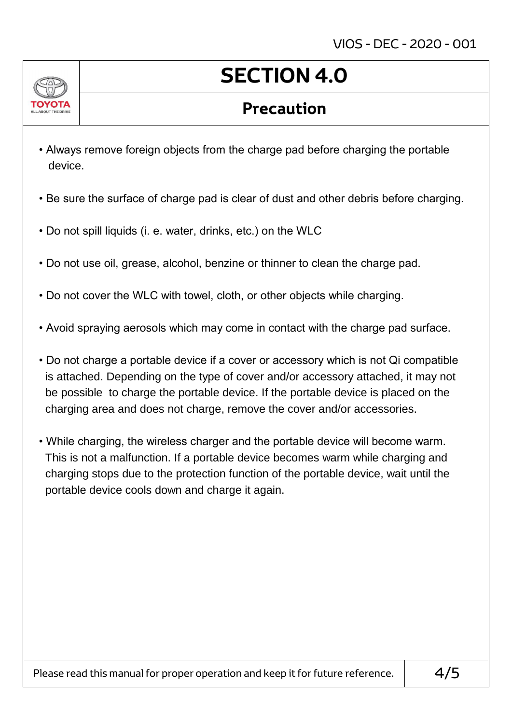

## **SECTION 4.0**

#### **Precaution**

- Always remove foreign objects from the charge pad before charging the portable device.
- Be sure the surface of charge pad is clear of dust and other debris before charging.
- Do not spill liquids (i. e. water, drinks, etc.) on the WLC
- Do not use oil, grease, alcohol, benzine or thinner to clean the charge pad.
- Do not cover the WLC with towel, cloth, or other objects while charging.
- Avoid spraying aerosols which may come in contact with the charge pad surface.
- Do not charge a portable device if a cover or accessory which is not Qi compatible is attached. Depending on the type of cover and/or accessory attached, it may not be possible to charge the portable device. If the portable device is placed on the charging area and does not charge, remove the cover and/or accessories.
- While charging, the wireless charger and the portable device will become warm. This is not a malfunction. If a portable device becomes warm while charging and charging stops due to the protection function of the portable device, wait until the portable device cools down and charge it again.